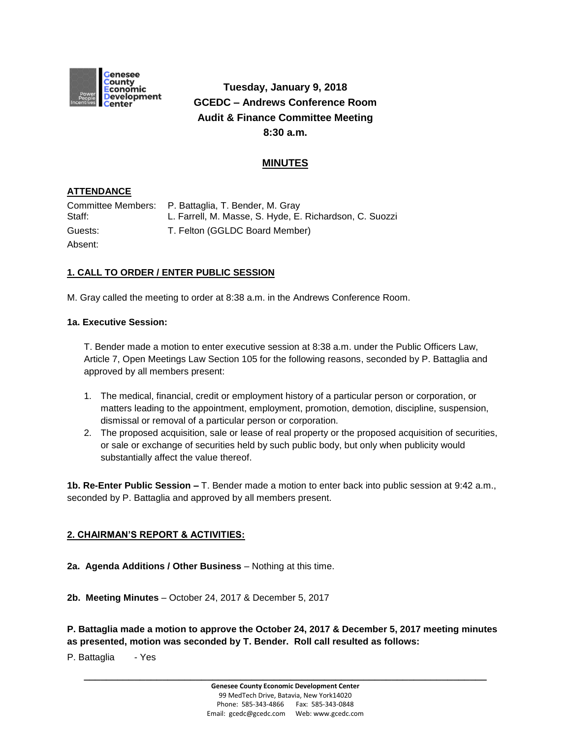

# **Tuesday, January 9, 2018 GCEDC – Andrews Conference Room Audit & Finance Committee Meeting 8:30 a.m.**

## **MINUTES**

### **ATTENDANCE**

| Staff:  | Committee Members: P. Battaglia, T. Bender, M. Gray<br>L. Farrell, M. Masse, S. Hyde, E. Richardson, C. Suozzi |
|---------|----------------------------------------------------------------------------------------------------------------|
| Guests: | T. Felton (GGLDC Board Member)                                                                                 |
| Absent: |                                                                                                                |

### **1. CALL TO ORDER / ENTER PUBLIC SESSION**

M. Gray called the meeting to order at 8:38 a.m. in the Andrews Conference Room.

#### **1a. Executive Session:**

T. Bender made a motion to enter executive session at 8:38 a.m. under the Public Officers Law, Article 7, Open Meetings Law Section 105 for the following reasons, seconded by P. Battaglia and approved by all members present:

- 1. The medical, financial, credit or employment history of a particular person or corporation, or matters leading to the appointment, employment, promotion, demotion, discipline, suspension, dismissal or removal of a particular person or corporation.
- 2. The proposed acquisition, sale or lease of real property or the proposed acquisition of securities, or sale or exchange of securities held by such public body, but only when publicity would substantially affect the value thereof.

**1b. Re-Enter Public Session –** T. Bender made a motion to enter back into public session at 9:42 a.m., seconded by P. Battaglia and approved by all members present.

#### **2. CHAIRMAN'S REPORT & ACTIVITIES:**

- **2a. Agenda Additions / Other Business** Nothing at this time.
- **2b. Meeting Minutes**  October 24, 2017 & December 5, 2017

**P. Battaglia made a motion to approve the October 24, 2017 & December 5, 2017 meeting minutes as presented, motion was seconded by T. Bender. Roll call resulted as follows:**

P. Battaglia - Yes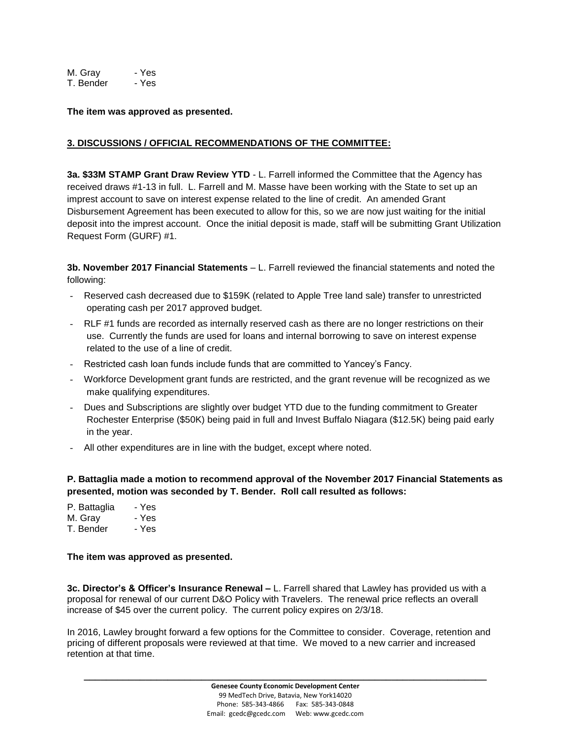M. Gray - Yes T. Bender - Yes

**The item was approved as presented.**

#### **3. DISCUSSIONS / OFFICIAL RECOMMENDATIONS OF THE COMMITTEE:**

**3a. \$33M STAMP Grant Draw Review YTD** - L. Farrell informed the Committee that the Agency has received draws #1-13 in full. L. Farrell and M. Masse have been working with the State to set up an imprest account to save on interest expense related to the line of credit. An amended Grant Disbursement Agreement has been executed to allow for this, so we are now just waiting for the initial deposit into the imprest account. Once the initial deposit is made, staff will be submitting Grant Utilization Request Form (GURF) #1.

**3b. November 2017 Financial Statements** – L. Farrell reviewed the financial statements and noted the following:

- Reserved cash decreased due to \$159K (related to Apple Tree land sale) transfer to unrestricted operating cash per 2017 approved budget.
- RLF #1 funds are recorded as internally reserved cash as there are no longer restrictions on their use. Currently the funds are used for loans and internal borrowing to save on interest expense related to the use of a line of credit.
- Restricted cash loan funds include funds that are committed to Yancey's Fancy.
- Workforce Development grant funds are restricted, and the grant revenue will be recognized as we make qualifying expenditures.
- Dues and Subscriptions are slightly over budget YTD due to the funding commitment to Greater Rochester Enterprise (\$50K) being paid in full and Invest Buffalo Niagara (\$12.5K) being paid early in the year.
- All other expenditures are in line with the budget, except where noted.

**P. Battaglia made a motion to recommend approval of the November 2017 Financial Statements as presented, motion was seconded by T. Bender. Roll call resulted as follows:**

| - Yes |
|-------|
| - Yes |
|       |

T. Bender - Yes

#### **The item was approved as presented.**

**3c. Director's & Officer's Insurance Renewal –** L. Farrell shared that Lawley has provided us with a proposal for renewal of our current D&O Policy with Travelers. The renewal price reflects an overall increase of \$45 over the current policy. The current policy expires on 2/3/18.

In 2016, Lawley brought forward a few options for the Committee to consider. Coverage, retention and pricing of different proposals were reviewed at that time. We moved to a new carrier and increased retention at that time.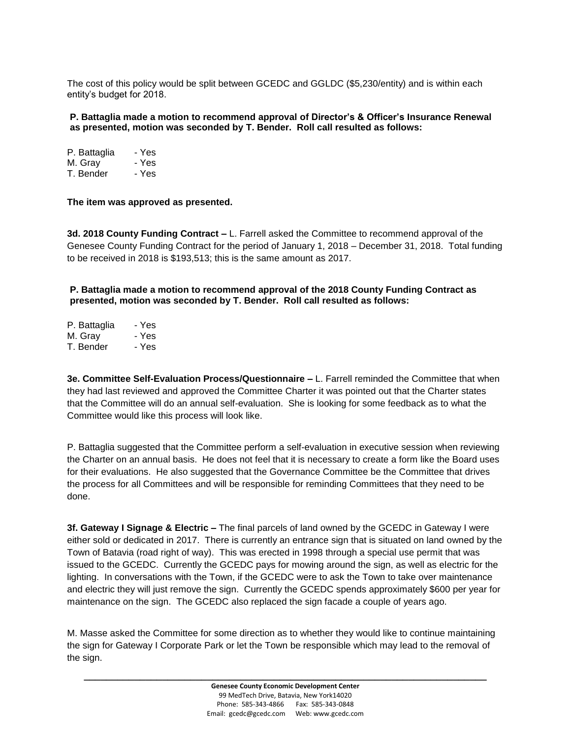The cost of this policy would be split between GCEDC and GGLDC (\$5,230/entity) and is within each entity's budget for 2018.

**P. Battaglia made a motion to recommend approval of Director's & Officer's Insurance Renewal as presented, motion was seconded by T. Bender. Roll call resulted as follows:**

| P. Battaglia | - Yes |
|--------------|-------|
| M. Gray      | - Yes |
| T. Bender    | - Yes |

**The item was approved as presented.**

**3d. 2018 County Funding Contract –** L. Farrell asked the Committee to recommend approval of the Genesee County Funding Contract for the period of January 1, 2018 – December 31, 2018. Total funding to be received in 2018 is \$193,513; this is the same amount as 2017.

**P. Battaglia made a motion to recommend approval of the 2018 County Funding Contract as presented, motion was seconded by T. Bender. Roll call resulted as follows:**

| P. Battaglia | - Yes |
|--------------|-------|
| M. Gray      | - Yes |
| T. Bender    | - Yes |

**3e. Committee Self-Evaluation Process/Questionnaire –** L. Farrell reminded the Committee that when they had last reviewed and approved the Committee Charter it was pointed out that the Charter states that the Committee will do an annual self-evaluation. She is looking for some feedback as to what the Committee would like this process will look like.

P. Battaglia suggested that the Committee perform a self-evaluation in executive session when reviewing the Charter on an annual basis. He does not feel that it is necessary to create a form like the Board uses for their evaluations. He also suggested that the Governance Committee be the Committee that drives the process for all Committees and will be responsible for reminding Committees that they need to be done.

**3f. Gateway I Signage & Electric –** The final parcels of land owned by the GCEDC in Gateway I were either sold or dedicated in 2017. There is currently an entrance sign that is situated on land owned by the Town of Batavia (road right of way). This was erected in 1998 through a special use permit that was issued to the GCEDC. Currently the GCEDC pays for mowing around the sign, as well as electric for the lighting. In conversations with the Town, if the GCEDC were to ask the Town to take over maintenance and electric they will just remove the sign. Currently the GCEDC spends approximately \$600 per year for maintenance on the sign. The GCEDC also replaced the sign facade a couple of years ago.

M. Masse asked the Committee for some direction as to whether they would like to continue maintaining the sign for Gateway I Corporate Park or let the Town be responsible which may lead to the removal of the sign.